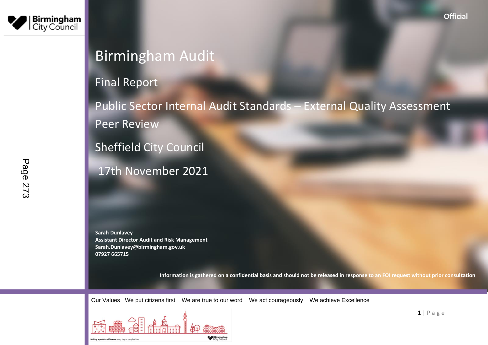

# Birmingham Audit

## Final Report

Public Sector Internal Audit Standards – External Quality Assessment Peer Review

Sheffield City Council

17th November 2021

**Sarah Dunlavey Assistant Director Audit and Risk Management Sarah.Dunlavey@birmingham.gov.uk 07927 665715**

**Information is gathered on a confidential basis and should not be released in response to an FOI request without prior consultation**

Our Values We put citizens first We are true to our word We act courageously We achieve Excellence

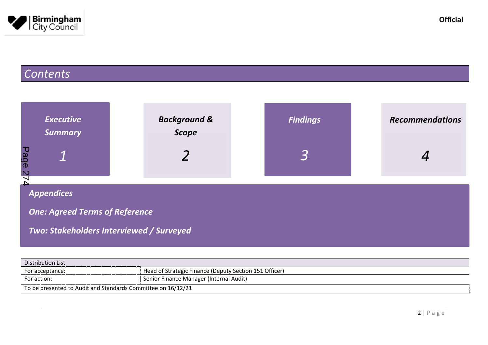

# *Contents*

| <b>Executive</b><br><b>Summary</b>                                                                     | <b>Background &amp;</b><br><b>Scope</b> | <b>Findings</b> | <b>Recommendations</b> |
|--------------------------------------------------------------------------------------------------------|-----------------------------------------|-----------------|------------------------|
| Page<br>574                                                                                            |                                         |                 |                        |
| <b>Appendices</b><br><b>One: Agreed Terms of Reference</b><br>Two: Stakeholders Interviewed / Surveyed |                                         |                 |                        |

| Distribution List                                            |                                                        |
|--------------------------------------------------------------|--------------------------------------------------------|
| For acceptance:                                              | Head of Strategic Finance (Deputy Section 151 Officer) |
| For action:                                                  | Senior Finance Manager (Internal Audit)                |
| To be presented to Audit and Standards Committee on 16/12/21 |                                                        |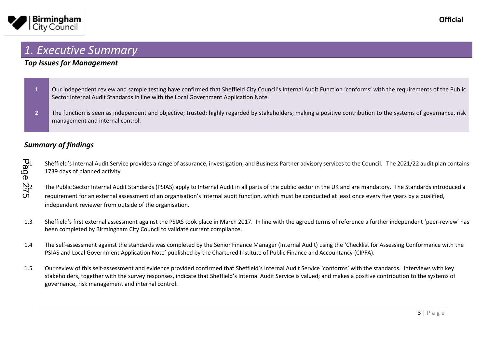

### <span id="page-2-0"></span>*1. Executive Summary*

### *Top Issues for Management*

- 1 Our independent review and sample testing have confirmed that Sheffield City Council's Internal Audit Function 'conforms' with the requirements of the Public Sector Internal Audit Standards in line with the Local Government Application Note.
- **2** The function is seen as independent and objective; trusted; highly regarded by stakeholders; making a positive contribution to the systems of governance, risk management and internal control.

### *Summary of findings*

1.1 Sheffield's Internal Audit Service provides a range of assurance, investigation, and Business Partner advisory services to the Council. The 2021/22 audit plan contains 1739 days of planned activity. Page

- 1.2 The Public Sector Internal Audit Standards (PSIAS) apply to Internal Audit in all parts of the public sector in the UK and are mandatory. The Standards introduced a<br>
On equirement for an external assessment of an organ requirement for an external assessment of an organisation's internal audit function, which must be conducted at least once every five years by a qualified, independent reviewer from outside of the organisation.
- 1.3 Sheffield's first external assessment against the PSIAS took place in March 2017. In line with the agreed terms of reference a further independent 'peer-review' has been completed by Birmingham City Council to validate current compliance.
- 1.4 The self-assessment against the standards was completed by the Senior Finance Manager (Internal Audit) using the 'Checklist for Assessing Conformance with the PSIAS and Local Government Application Note' published by the Chartered Institute of Public Finance and Accountancy (CIPFA).
- 1.5 Our review of this self-assessment and evidence provided confirmed that Sheffield's Internal Audit Service 'conforms' with the standards. Interviews with key stakeholders, together with the survey responses, indicate that Sheffield's Internal Audit Service is valued; and makes a positive contribution to the systems of governance, risk management and internal control.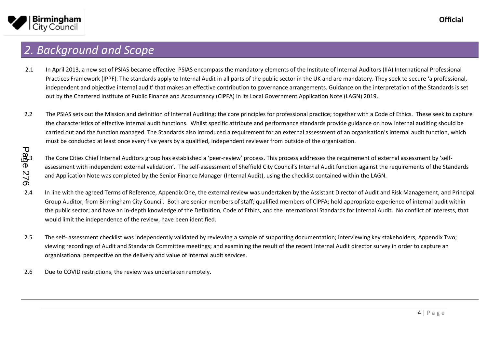

### <span id="page-3-0"></span>*2. Background and Scope*

- 2.1 In April 2013, a new set of PSIAS became effective. PSIAS encompass the mandatory elements of the Institute of Internal Auditors (IIA) International Professional Practices Framework (IPPF). The standards apply to Internal Audit in all parts of the public sector in the UK and are mandatory. They seek to secure 'a professional, independent and objective internal audit' that makes an effective contribution to governance arrangements. Guidance on the interpretation of the Standards is set out by the Chartered Institute of Public Finance and Accountancy (CIPFA) in its Local Government Application Note (LAGN) 2019.
- 2.2 The PSIAS sets out the Mission and definition of Internal Auditing; the core principles for professional practice; together with a Code of Ethics. These seek to capture the characteristics of effective internal audit functions. Whilst specific attribute and performance standards provide guidance on how internal auditing should be carried out and the function managed. The Standards also introduced a requirement for an external assessment of an organisation's internal audit function, which must be conducted at least once every five years by a qualified, independent reviewer from outside of the organisation.

2.3 The Core Cities Chief Internal Auditors group has established a 'peer-review' process. This process addresses the requirement of external assessment by 'selfassessment with independent external validation'. The self-assessment of Sheffield City Council's Internal Audit function against the requirements of the Standards and Application Note was completed by the Senior Finance Manager (Internal Audit), using the checklist contained within the LAGN.

- 2.4 In line with the agreed Terms of Reference, Appendix One, the external review was undertaken by the Assistant Director of Audit and Risk Management, and Principal Group Auditor, from Birmingham City Council. Both are senior members of staff; qualified members of CIPFA; hold appropriate experience of internal audit within the public sector; and have an in-depth knowledge of the Definition, Code of Ethics, and the International Standards for Internal Audit. No conflict of interests, that would limit the independence of the review, have been identified.
- 2.5 The self- assessment checklist was independently validated by reviewing a sample of supporting documentation; interviewing key stakeholders, Appendix Two; viewing recordings of Audit and Standards Committee meetings; and examining the result of the recent Internal Audit director survey in order to capture an organisational perspective on the delivery and value of internal audit services.
- 2.6 Due to COVID restrictions, the review was undertaken remotely.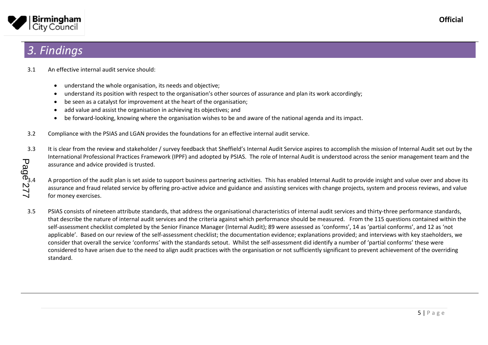

### <span id="page-4-0"></span>*3. Findings*

- 3.1 An effective internal audit service should:
	- understand the whole organisation, its needs and objective;
	- understand its position with respect to the organisation's other sources of assurance and plan its work accordingly;
	- be seen as a catalyst for improvement at the heart of the organisation;
	- add value and assist the organisation in achieving its objectives; and
	- be forward-looking, knowing where the organisation wishes to be and aware of the national agenda and its impact.
- 3.2 Compliance with the PSIAS and LGAN provides the foundations for an effective internal audit service.
- 3.3 It is clear from the review and stakeholder / survey feedback that Sheffield's Internal Audit Service aspires to accomplish the mission of Internal Audit set out by the International Professional Practices Framework (IPPF) and adopted by PSIAS. The role of Internal Audit is understood across the senior management team and the assurance and advice provided is trusted. Page<sup>m</sup>277

A proportion of the audit plan is set aside to support business partnering activities. This has enabled Internal Audit to provide insight and value over and above its assurance and fraud related service by offering pro-active advice and guidance and assisting services with change projects, system and process reviews, and value for money exercises.

3.5 PSIAS consists of nineteen attribute standards, that address the organisational characteristics of internal audit services and thirty-three performance standards, that describe the nature of internal audit services and the criteria against which performance should be measured. From the 115 questions contained within the self-assessment checklist completed by the Senior Finance Manager (Internal Audit); 89 were assessed as 'conforms', 14 as 'partial conforms', and 12 as 'not applicable'. Based on our review of the self-assessment checklist; the documentation evidence; explanations provided; and interviews with key staeholders, we consider that overall the service 'conforms' with the standards setout. Whilst the self-assessment did identify a number of 'partial conforms' these were considered to have arisen due to the need to align audit practices with the organisation or not sufficiently significant to prevent achievement of the overriding standard.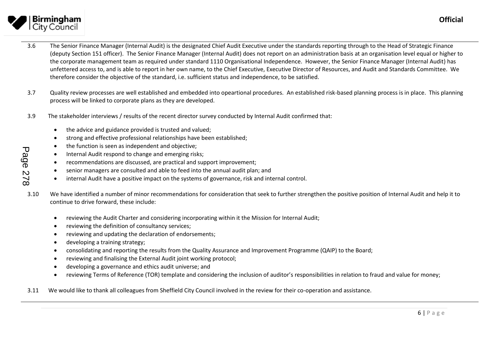

Page 278

- 3.6 The Senior Finance Manager (Internal Audit) is the designated Chief Audit Executive under the standards reporting through to the Head of Strategic Finance (deputy Section 151 officer). The Senior Finance Manager (Internal Audit) does not report on an administration basis at an organisation level equal or higher to the corporate management team as required under standard 1110 Organisational Independence. However, the Senior Finance Manager (Internal Audit) has unfettered access to, and is able to report in her own name, to the Chief Executive, Executive Director of Resources, and Audit and Standards Committee. We therefore consider the objective of the standard, i.e. sufficient status and independence, to be satisfied.
- 3.7 Quality review processes are well established and embedded into opeartional procedures. An established risk-based planning process is in place. This planning process will be linked to corporate plans as they are developed.
- 3.9 The stakeholder interviews / results of the recent director survey conducted by Internal Audit confirmed that:
	- the advice and guidance provided is trusted and valued;
	- strong and effective professional relationships have been established;
	- the function is seen as independent and objective;
	- Internal Audit respond to change and emerging risks;
	- recommendations are discussed, are practical and support improvement;
	- senior managers are consulted and able to feed into the annual audit plan; and
	- internal Audit have a positive impact on the systems of governance, risk and internal control.
- 3.10 We have identified a number of minor recommendations for consideration that seek to further strengthen the positive position of Internal Audit and help it to continue to drive forward, these include:
	- reviewing the Audit Charter and considering incorporating within it the Mission for Internal Audit;
	- reviewing the definition of consultancy services;
	- reviewing and updating the declaration of endorsements;
	- developing a training strategy;
	- consolidating and reporting the results from the Quality Assurance and Improvement Programme (QAIP) to the Board;
	- reviewing and finalising the External Audit joint working protocol;
	- developing a governance and ethics audit universe; and
	- reviewing Terms of Reference (TOR) template and considering the inclusion of auditor's responsibilities in relation to fraud and value for money;
- 3.11 We would like to thank all colleagues from Sheffield City Council involved in the review for their co-operation and assistance.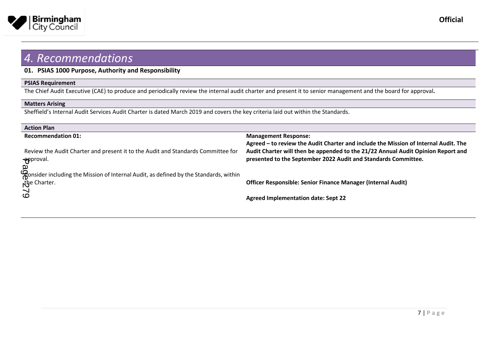

### **01. PSIAS 1000 Purpose, Authority and Responsibility**

#### **PSIAS Requirement**

The Chief Audit Executive (CAE) to produce and periodically review the internal audit charter and present it to senior management and the board for approval**.** 

#### **Matters Arising**

Sheffield's Internal Audit Services Audit Charter is dated March 2019 and covers the key criteria laid out within the Standards.

| <b>Action Plan</b>                                                                                               |                                                                                                                                                                                                                                           |
|------------------------------------------------------------------------------------------------------------------|-------------------------------------------------------------------------------------------------------------------------------------------------------------------------------------------------------------------------------------------|
| <b>Recommendation 01:</b>                                                                                        | <b>Management Response:</b>                                                                                                                                                                                                               |
| Review the Audit Charter and present it to the Audit and Standards Committee for<br><del>- ap</del> proval.<br>വ | Agreed – to review the Audit Charter and include the Mission of Internal Audit. The<br>Audit Charter will then be appended to the 21/22 Annual Audit Opinion Report and<br>presented to the September 2022 Audit and Standards Committee. |
| Consider including the Mission of Internal Audit, as defined by the Standards, within<br>the Charter.            | <b>Officer Responsible: Senior Finance Manager (Internal Audit)</b>                                                                                                                                                                       |
| $\delta$                                                                                                         | <b>Agreed Implementation date: Sept 22</b>                                                                                                                                                                                                |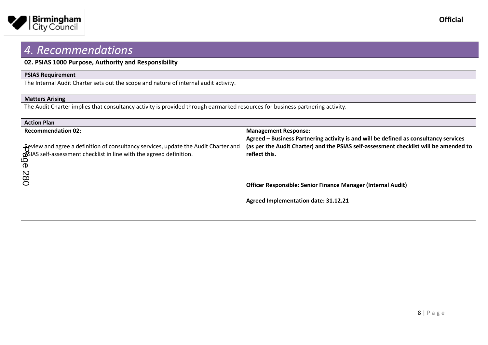

#### **02. PSIAS 1000 Purpose, Authority and Responsibility**

#### **PSIAS Requirement**

The Internal Audit Charter sets out the scope and nature of internal audit activity.

#### **Matters Arising**

The Audit Charter implies that consultancy activity is provided through earmarked resources for business partnering activity.

| <b>Action Plan</b>                                                                                                                                                       |                                                                                                                     |
|--------------------------------------------------------------------------------------------------------------------------------------------------------------------------|---------------------------------------------------------------------------------------------------------------------|
| <b>Recommendation 02:</b>                                                                                                                                                | <b>Management Response:</b><br>Agreed - Business Partnering activity is and will be defined as consultancy services |
| -Review and agree a definition of consultancy services, update the Audit Charter and<br><b>GSIAS</b> self-assessment checklist in line with the agreed definition.<br>ရွ | (as per the Audit Charter) and the PSIAS self-assessment checklist will be amended to<br>reflect this.              |
| 087                                                                                                                                                                      | <b>Officer Responsible: Senior Finance Manager (Internal Audit)</b>                                                 |
|                                                                                                                                                                          | Agreed Implementation date: 31.12.21                                                                                |

**Official**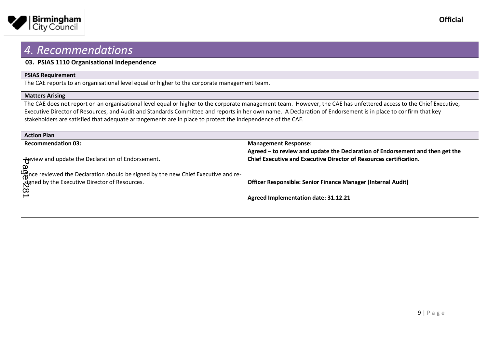

#### **03. PSIAS 1110 Organisational Independence**

#### **PSIAS Requirement**

The CAE reports to an organisational level equal or higher to the corporate management team.

#### **Matters Arising**

The CAE does not report on an organisational level equal or higher to the corporate management team. However, the CAE has unfettered access to the Chief Executive, Executive Director of Resources, and Audit and Standards Committee and reports in her own name. A Declaration of Endorsement is in place to confirm that key stakeholders are satisfied that adequate arrangements are in place to protect the independence of the CAE.

| <b>Action Plan</b>                                                         |                                                                               |
|----------------------------------------------------------------------------|-------------------------------------------------------------------------------|
| <b>Recommendation 03:</b>                                                  | <b>Management Response:</b>                                                   |
|                                                                            | Agreed – to review and update the Declaration of Endorsement and then get the |
| -Review and update the Declaration of Endorsement.                         | <b>Chief Executive and Executive Director of Resources certification.</b>     |
| യ                                                                          |                                                                               |
| the new chiefs and re-<br>of the Signed by the new Chief Executive and re- |                                                                               |
| Signed by the Executive Director of Resources.                             | <b>Officer Responsible: Senior Finance Manager (Internal Audit)</b>           |
| $\infty$                                                                   |                                                                               |
|                                                                            | Agreed Implementation date: 31.12.21                                          |
|                                                                            |                                                                               |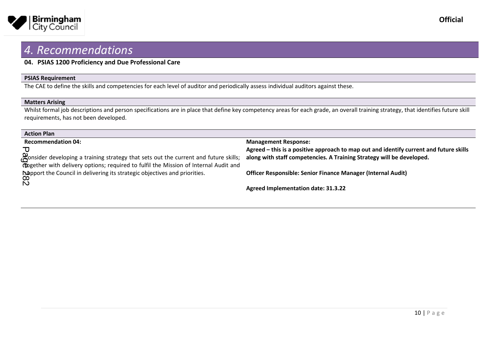

#### **04. PSIAS 1200 Proficiency and Due Professional Care**

#### **PSIAS Requirement**

The CAE to define the skills and competencies for each level of auditor and periodically assess individual auditors against these.

#### **Matters Arising**

Whilst formal job descriptions and person specifications are in place that define key competency areas for each grade, an overall training strategy, that identifies future skill requirements, has not been developed.

| <b>Action Plan</b>                                                                                                                                                                               |                                                                                                                                                                 |
|--------------------------------------------------------------------------------------------------------------------------------------------------------------------------------------------------|-----------------------------------------------------------------------------------------------------------------------------------------------------------------|
| <b>Recommendation 04:</b>                                                                                                                                                                        | <b>Management Response:</b>                                                                                                                                     |
| Bonsider developing a training strategy that sets out the current and future skills;                                                                                                             | Agreed – this is a positive approach to map out and identify current and future skills<br>along with staff competencies. A Training Strategy will be developed. |
| <b>Condensation</b> with delivery options; required to fulfil the Mission of Internal Audit and<br><b>Napport the Council in delivering its strategic objectives and priorities.</b><br>$\infty$ | <b>Officer Responsible: Senior Finance Manager (Internal Audit)</b>                                                                                             |
| $\tilde{\mathsf{D}}$                                                                                                                                                                             | <b>Agreed Implementation date: 31.3.22</b>                                                                                                                      |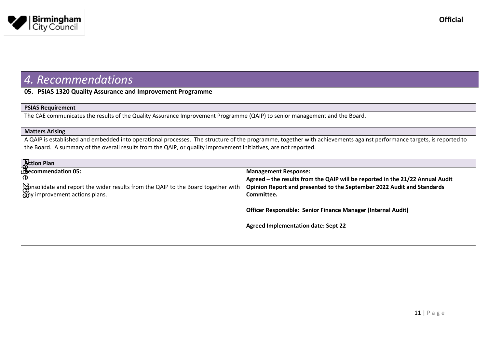

#### **05. PSIAS 1320 Quality Assurance and Improvement Programme**

#### **PSIAS Requirement**

The CAE communicates the results of the Quality Assurance Improvement Programme (QAIP) to senior management and the Board.

#### **Matters Arising**

A QAIP is established and embedded into operational processes. The structure of the programme, together with achievements against performance targets, is reported to the Board. A summary of the overall results from the QAIP, or quality improvement initiatives, are not reported.

|          | Action Plan<br>Becommendation 05:                                                 |                                                                               |
|----------|-----------------------------------------------------------------------------------|-------------------------------------------------------------------------------|
|          |                                                                                   | <b>Management Response:</b>                                                   |
| $\sigma$ |                                                                                   | Agreed - the results from the QAIP will be reported in the 21/22 Annual Audit |
|          | Consolidate and report the wider results from the QAIP to the Board together with | Opinion Report and presented to the September 2022 Audit and Standards        |
|          | cany improvement actions plans.                                                   | Committee.                                                                    |
|          |                                                                                   |                                                                               |
|          |                                                                                   | Officer Responsible: Senior Finance Manager (Internal Audit)                  |
|          |                                                                                   |                                                                               |
|          |                                                                                   | <b>Agreed Implementation date: Sept 22</b>                                    |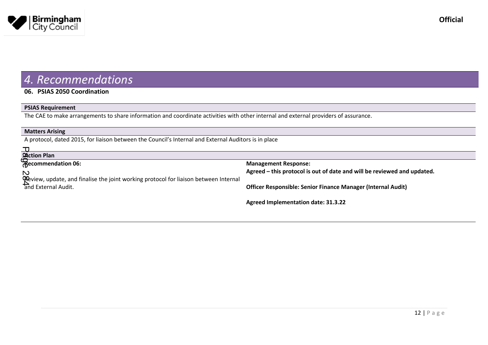

#### **06. PSIAS 2050 Coordination**

#### **PSIAS Requirement**

The CAE to make arrangements to share information and coordinate activities with other internal and external providers of assurance.

| A protocol, dated 2015, for liaison between the Council's Internal and External Auditors is in place |  |
|------------------------------------------------------------------------------------------------------|--|
|                                                                                                      |  |
|                                                                                                      |  |
| <b>Management Response:</b>                                                                          |  |
| Agreed – this protocol is out of date and will be reviewed and updated.                              |  |
|                                                                                                      |  |
| <b>Officer Responsible: Senior Finance Manager (Internal Audit)</b>                                  |  |
|                                                                                                      |  |
| <b>Agreed Implementation date: 31.3.22</b>                                                           |  |
|                                                                                                      |  |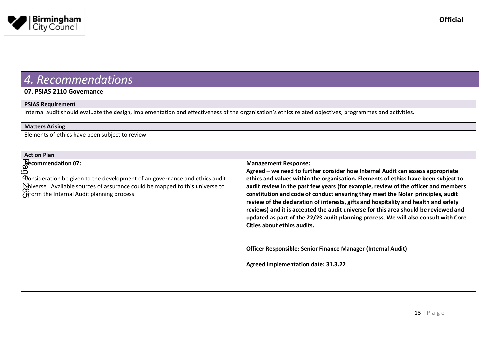

#### **07. PSIAS 2110 Governance**

#### **PSIAS Requirement**

Internal audit should evaluate the design, implementation and effectiveness of the organisation's ethics related objectives, programmes and activities.

#### **Matters Arising**

Elements of ethics have been subject to review.

#### **Action Plan**

**Recommendation 07:**

Consideration be given to the development of an governance and ethics audit  $\mathbf{Q}$ hiverse. Available sources of assurance could be mapped to this universe to inform the Internal Audit planning process. Page 285

#### **Management Response:**

**Agreed – we need to further consider how Internal Audit can assess appropriate ethics and values within the organisation. Elements of ethics have been subject to audit review in the past few years (for example, review of the officer and members constitution and code of conduct ensuring they meet the Nolan principles, audit review of the declaration of interests, gifts and hospitality and health and safety reviews) and it is accepted the audit universe for this area should be reviewed and updated as part of the 22/23 audit planning process. We will also consult with Core Cities about ethics audits.**

**Officer Responsible: Senior Finance Manager (Internal Audit)**

**Agreed Implementation date: 31.3.22**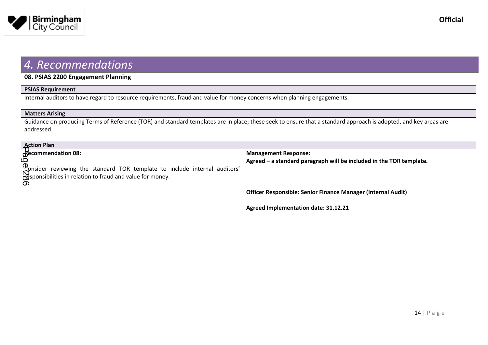

#### **08. PSIAS 2200 Engagement Planning**

#### **PSIAS Requirement**

Internal auditors to have regard to resource requirements, fraud and value for money concerns when planning engagements.

#### **Matters Arising**

Guidance on producing Terms of Reference (TOR) and standard templates are in place; these seek to ensure that a standard approach is adopted, and key areas are addressed.

| <b>Action Plan<br/>Recommendation 08:</b>                                                                                                           |                                                                     |
|-----------------------------------------------------------------------------------------------------------------------------------------------------|---------------------------------------------------------------------|
|                                                                                                                                                     | <b>Management Response:</b>                                         |
| Consider reviewing the standard TOR template to include internal auditors'<br>Supersibilities in relation to fraud and value for money.<br><u>ග</u> | Agreed - a standard paragraph will be included in the TOR template. |
|                                                                                                                                                     | Officer Responsible: Senior Finance Manager (Internal Audit)        |
|                                                                                                                                                     | Agreed Implementation date: 31.12.21                                |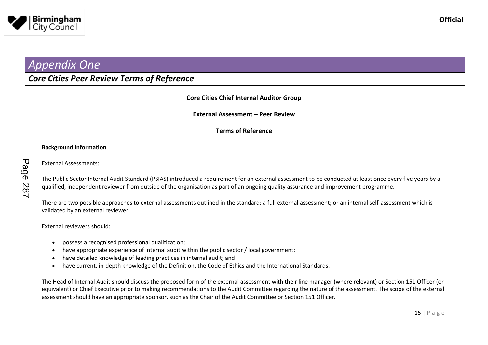

### *Appendix One*

### *Core Cities Peer Review Terms of Reference*

#### **Core Cities Chief Internal Auditor Group**

**External Assessment – Peer Review**

**Terms of Reference**

#### **Background Information**

External Assessments:

The Public Sector Internal Audit Standard (PSIAS) introduced a requirement for an external assessment to be conducted at least once every five years by a qualified, independent reviewer from outside of the organisation as part of an ongoing quality assurance and improvement programme.

There are two possible approaches to external assessments outlined in the standard: a full external assessment; or an internal self-assessment which is validated by an external reviewer.

External reviewers should:

- possess a recognised professional qualification;
- have appropriate experience of internal audit within the public sector / local government;
- have detailed knowledge of leading practices in internal audit; and
- have current, in-depth knowledge of the Definition, the Code of Ethics and the International Standards.

The Head of Internal Audit should discuss the proposed form of the external assessment with their line manager (where relevant) or Section 151 Officer (or equivalent) or Chief Executive prior to making recommendations to the Audit Committee regarding the nature of the assessment. The scope of the external assessment should have an appropriate sponsor, such as the Chair of the Audit Committee or Section 151 Officer.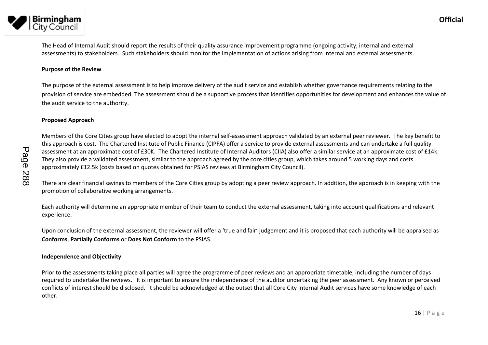

# **Birmingham**<br>City Council The Head of Internal Audit should report the results of their quality assurance improvement programme (ongoing activity, internal and external

assessments) to stakeholders. Such stakeholders should monitor the implementation of actions arising from internal and external assessments.

#### **Purpose of the Review**

The purpose of the external assessment is to help improve delivery of the audit service and establish whether governance requirements relating to the provision of service are embedded. The assessment should be a supportive process that identifies opportunities for development and enhances the value of the audit service to the authority.

#### **Proposed Approach**

Members of the Core Cities group have elected to adopt the internal self-assessment approach validated by an external peer reviewer. The key benefit to this approach is cost. The Chartered Institute of Public Finance (CIPFA) offer a service to provide external assessments and can undertake a full quality assessment at an approximate cost of £30K. The Chartered Institute of Internal Auditors (CIIA) also offer a similar service at an approximate cost of £14k. They also provide a validated assessment, similar to the approach agreed by the core cities group, which takes around 5 working days and costs approximately £12.5k (costs based on quotes obtained for PSIAS reviews at Birmingham City Council).

There are clear financial savings to members of the Core Cities group by adopting a peer review approach. In addition, the approach is in keeping with the promotion of collaborative working arrangements.

Each authority will determine an appropriate member of their team to conduct the external assessment, taking into account qualifications and relevant experience.

Upon conclusion of the external assessment, the reviewer will offer a 'true and fair' judgement and it is proposed that each authority will be appraised as **Conforms**, **Partially Conforms** or **Does Not Conform** to the PSIAS.

#### **Independence and Objectivity**

Prior to the assessments taking place all parties will agree the programme of peer reviews and an appropriate timetable, including the number of days required to undertake the reviews. It is important to ensure the independence of the auditor undertaking the peer assessment. Any known or perceived conflicts of interest should be disclosed. It should be acknowledged at the outset that all Core City Internal Audit services have some knowledge of each other.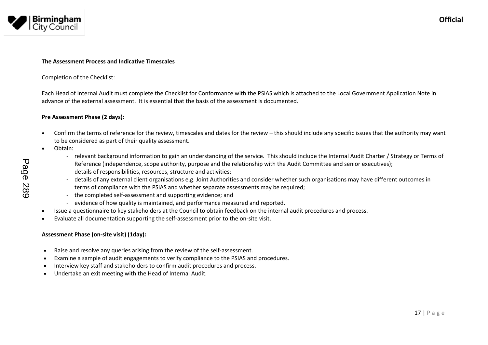

#### **The Assessment Process and Indicative Timescales**

#### Completion of the Checklist:

Each Head of Internal Audit must complete the Checklist for Conformance with the PSIAS which is attached to the Local Government Application Note in advance of the external assessment. It is essential that the basis of the assessment is documented.

#### **Pre Assessment Phase (2 days):**

- Confirm the terms of reference for the review, timescales and dates for the review this should include any specific issues that the authority may want to be considered as part of their quality assessment.
- Obtain:
	- relevant background information to gain an understanding of the service. This should include the Internal Audit Charter / Strategy or Terms of Reference (independence, scope authority, purpose and the relationship with the Audit Committee and senior executives);
	- details of responsibilities, resources, structure and activities;
	- details of any external client organisations e.g. Joint Authorities and consider whether such organisations may have different outcomes in terms of compliance with the PSIAS and whether separate assessments may be required;
	- the completed self-assessment and supporting evidence; and
	- evidence of how quality is maintained, and performance measured and reported.
- Issue a questionnaire to key stakeholders at the Council to obtain feedback on the internal audit procedures and process.
- Evaluate all documentation supporting the self-assessment prior to the on-site visit.

#### **Assessment Phase (on-site visit) (1day):**

- Raise and resolve any queries arising from the review of the self-assessment.
- Examine a sample of audit engagements to verify compliance to the PSIAS and procedures.
- Interview key staff and stakeholders to confirm audit procedures and process.
- Undertake an exit meeting with the Head of Internal Audit.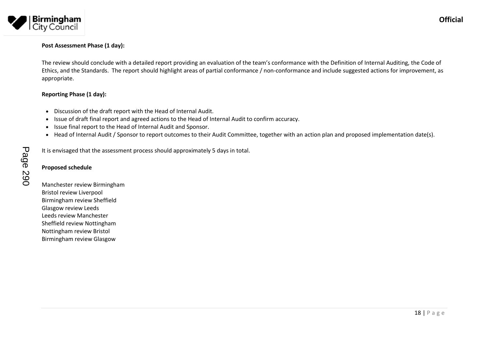

#### **Post Assessment Phase (1 day):**

The review should conclude with a detailed report providing an evaluation of the team's conformance with the Definition of Internal Auditing, the Code of Ethics, and the Standards. The report should highlight areas of partial conformance / non-conformance and include suggested actions for improvement, as appropriate.

#### **Reporting Phase (1 day):**

- Discussion of the draft report with the Head of Internal Audit.
- Issue of draft final report and agreed actions to the Head of Internal Audit to confirm accuracy.
- Issue final report to the Head of Internal Audit and Sponsor.
- Head of Internal Audit / Sponsor to report outcomes to their Audit Committee, together with an action plan and proposed implementation date(s).

It is envisaged that the assessment process should approximately 5 days in total.

# **Proposed schedule** Page 290

Manchester review Birmingham Bristol review Liverpool Birmingham review Sheffield Glasgow review Leeds Leeds review Manchester Sheffield review Nottingham Nottingham review Bristol Birmingham review Glasgow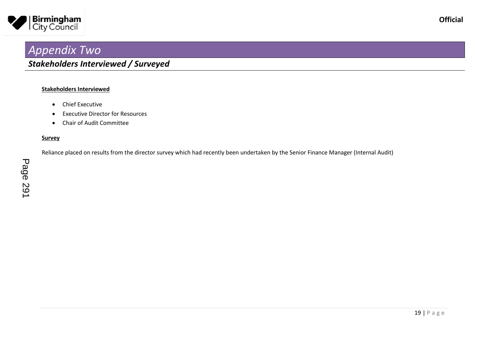

## *Appendix Two*

#### **Stakeholders Interviewed**

- Chief Executive
- Executive Director for Resources
- Chair of Audit Committee

#### **Survey**

Reliance placed on results from the director survey which had recently been undertaken by the Senior Finance Manager (Internal Audit)